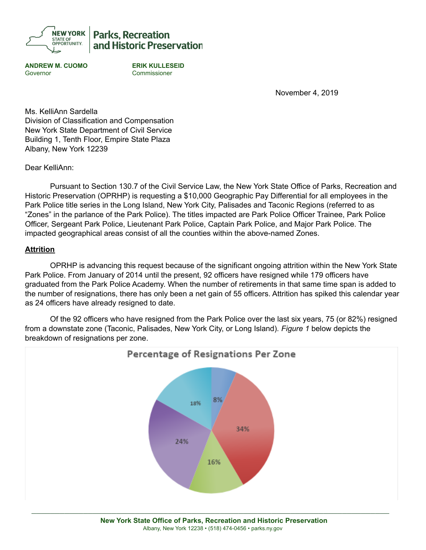

**Parks. Recreation** and Historic Preservation

**ANDREW M. CUOMO ERIK KULLESEID** Governor Commissioner

November 4, 2019

Ms. KelliAnn Sardella Division of Classification and Compensation New York State Department of Civil Service Building 1, Tenth Floor, Empire State Plaza Albany, New York 12239

Dear KelliAnn:

Pursuant to Section 130.7 of the Civil Service Law, the New York State Office of Parks, Recreation and Historic Preservation (OPRHP) is requesting a \$10,000 Geographic Pay Differential for all employees in the Park Police title series in the Long Island, New York City, Palisades and Taconic Regions (referred to as "Zones" in the parlance of the Park Police). The titles impacted are Park Police Officer Trainee, Park Police Officer, Sergeant Park Police, Lieutenant Park Police, Captain Park Police, and Major Park Police. The impacted geographical areas consist of all the counties within the above-named Zones.

### **Attrition**

OPRHP is advancing this request because of the significant ongoing attrition within the New York State Park Police. From January of 2014 until the present, 92 officers have resigned while 179 officers have graduated from the Park Police Academy. When the number of retirements in that same time span is added to the number of resignations, there has only been a net gain of 55 officers. Attrition has spiked this calendar year as 24 officers have already resigned to date.

Of the 92 officers who have resigned from the Park Police over the last six years, 75 (or 82%) resigned from a downstate zone (Taconic, Palisades, New York City, or Long Island). *Figure 1* below depicts the breakdown of resignations per zone.



\_\_\_\_\_\_\_\_\_\_\_\_\_\_\_\_\_\_\_\_\_\_\_\_\_\_\_\_\_\_\_\_\_\_\_\_\_\_\_\_\_\_\_\_\_\_\_\_\_\_\_\_\_\_\_\_\_\_\_\_\_\_\_\_\_\_\_\_\_\_\_\_\_\_\_\_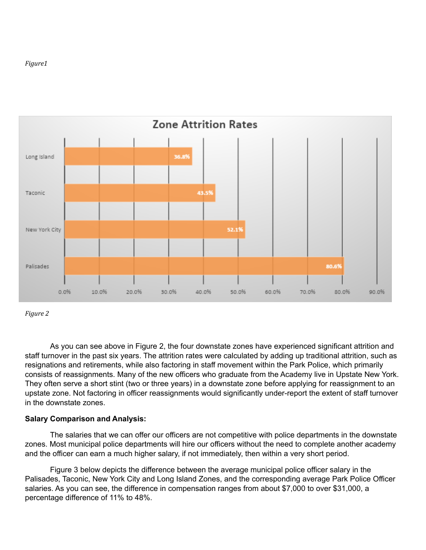#### *Figure1*



*Figure 2*

As you can see above in Figure 2, the four downstate zones have experienced significant attrition and staff turnover in the past six years. The attrition rates were calculated by adding up traditional attrition, such as resignations and retirements, while also factoring in staff movement within the Park Police, which primarily consists of reassignments. Many of the new officers who graduate from the Academy live in Upstate New York. They often serve a short stint (two or three years) in a downstate zone before applying for reassignment to an upstate zone. Not factoring in officer reassignments would significantly under-report the extent of staff turnover in the downstate zones.

### **Salary Comparison and Analysis:**

The salaries that we can offer our officers are not competitive with police departments in the downstate zones. Most municipal police departments will hire our officers without the need to complete another academy and the officer can earn a much higher salary, if not immediately, then within a very short period.

Figure 3 below depicts the difference between the average municipal police officer salary in the Palisades, Taconic, New York City and Long Island Zones, and the corresponding average Park Police Officer salaries. As you can see, the difference in compensation ranges from about \$7,000 to over \$31,000, a percentage difference of 11% to 48%.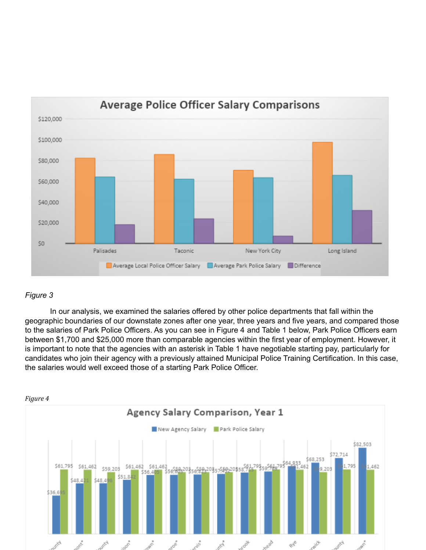

## *Figure 3*

In our analysis, we examined the salaries offered by other police departments that fall within the geographic boundaries of our downstate zones after one year, three years and five years, and compared those to the salaries of Park Police Officers. As you can see in Figure 4 and Table 1 below, Park Police Officers earn between \$1,700 and \$25,000 more than comparable agencies within the first year of employment. However, it is important to note that the agencies with an asterisk in Table 1 have negotiable starting pay, particularly for candidates who join their agency with a previously attained Municipal Police Training Certification. In this case, the salaries would well exceed those of a starting Park Police Officer.

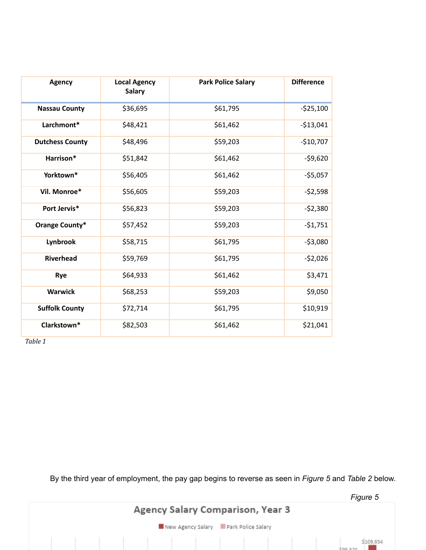| <b>Agency</b>          | <b>Local Agency</b><br><b>Salary</b> | <b>Park Police Salary</b> | <b>Difference</b> |
|------------------------|--------------------------------------|---------------------------|-------------------|
| <b>Nassau County</b>   | \$36,695                             | \$61,795                  | $-$25,100$        |
| Larchmont*             | \$48,421                             | \$61,462                  | $-513,041$        |
| <b>Dutchess County</b> | \$48,496                             | \$59,203                  | $-$10,707$        |
| Harrison*              | \$51,842                             | \$61,462                  | $-59,620$         |
| Yorktown*              | \$56,405                             | \$61,462                  | $-55,057$         |
| Vil. Monroe*           | \$56,605                             | \$59,203                  | $-52,598$         |
| Port Jervis*           | \$56,823                             | \$59,203                  | $-52,380$         |
| <b>Orange County*</b>  | \$57,452                             | \$59,203                  | $-51,751$         |
| Lynbrook               | \$58,715                             | \$61,795                  | $-53,080$         |
| Riverhead              | \$59,769                             | \$61,795                  | $-52,026$         |
| Rye                    | \$64,933                             | \$61,462                  | \$3,471           |
| <b>Warwick</b>         | \$68,253                             | \$59,203                  | \$9,050           |
| <b>Suffolk County</b>  | \$72,714                             | \$61,795                  | \$10,919          |
| Clarkstown*            | \$82,503                             | \$61,462                  | \$21,041          |

*Table 1*

By the third year of employment, the pay gap begins to reverse as seen in *Figure 5* and *Table 2* below.

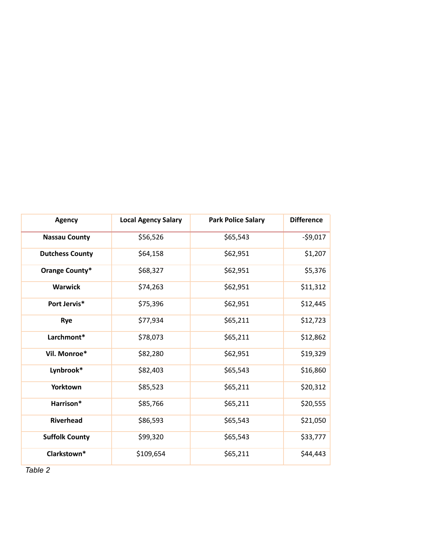| <b>Agency</b>          | <b>Local Agency Salary</b> | <b>Park Police Salary</b> | <b>Difference</b> |
|------------------------|----------------------------|---------------------------|-------------------|
| <b>Nassau County</b>   | \$56,526                   | \$65,543                  | $-59,017$         |
| <b>Dutchess County</b> | \$64,158                   | \$62,951                  | \$1,207           |
| Orange County*         | \$68,327                   | \$62,951                  | \$5,376           |
| <b>Warwick</b>         | \$74,263                   | \$62,951                  | \$11,312          |
| Port Jervis*           | \$75,396                   | \$62,951                  | \$12,445          |
| Rye                    | \$77,934                   | \$65,211                  | \$12,723          |
| Larchmont*             | \$78,073                   | \$65,211                  | \$12,862          |
| Vil. Monroe*           | \$82,280                   | \$62,951                  | \$19,329          |
| Lynbrook*              | \$82,403                   | \$65,543                  | \$16,860          |
| Yorktown               | \$85,523                   | \$65,211                  | \$20,312          |
| Harrison*              | \$85,766                   | \$65,211                  | \$20,555          |
| Riverhead              | \$86,593                   | \$65,543                  | \$21,050          |
| <b>Suffolk County</b>  | \$99,320                   | \$65,543                  | \$33,777          |
| Clarkstown*            | \$109,654                  | \$65,211                  | \$44,443          |

*Table 2*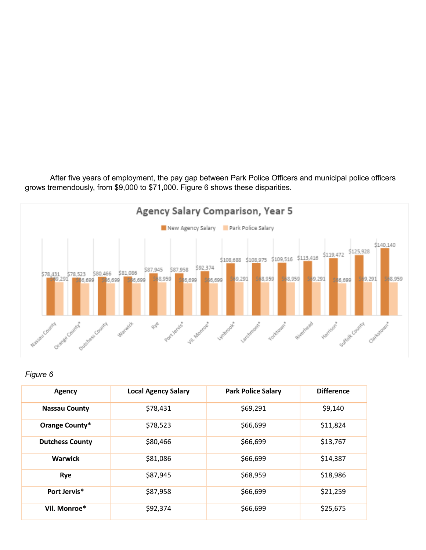After five years of employment, the pay gap between Park Police Officers and municipal police officers grows tremendously, from \$9,000 to \$71,000. Figure 6 shows these disparities.



## *Figure 6*

| Agency                 | <b>Local Agency Salary</b> | <b>Park Police Salary</b> | <b>Difference</b> |
|------------------------|----------------------------|---------------------------|-------------------|
| <b>Nassau County</b>   | \$78,431                   | \$69,291                  | \$9,140           |
| Orange County*         | \$78,523                   | \$66,699                  | \$11,824          |
| <b>Dutchess County</b> | \$80,466                   | \$66,699                  | \$13,767          |
| <b>Warwick</b>         | \$81,086                   | \$66,699                  | \$14,387          |
| Rye                    | \$87,945                   | \$68,959                  | \$18,986          |
| Port Jervis*           | \$87,958                   | \$66,699                  | \$21,259          |
| Vil. Monroe*           | \$92,374                   | \$66,699                  | \$25,675          |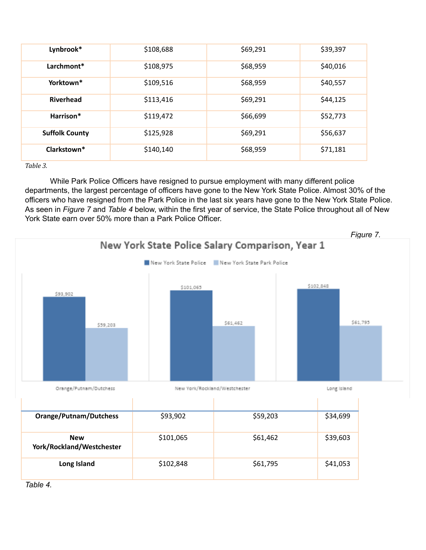| Lynbrook*             | \$108,688 | \$69,291 | \$39,397 |
|-----------------------|-----------|----------|----------|
| Larchmont*            | \$108,975 | \$68,959 | \$40,016 |
| Yorktown*             | \$109,516 | \$68,959 | \$40,557 |
| <b>Riverhead</b>      | \$113,416 | \$69,291 | \$44,125 |
| Harrison*             | \$119,472 | \$66,699 | \$52,773 |
| <b>Suffolk County</b> | \$125,928 | \$69,291 | \$56,637 |
| Clarkstown*           | \$140,140 | \$68,959 | \$71,181 |

*Table 3.*

While Park Police Officers have resigned to pursue employment with many different police departments, the largest percentage of officers have gone to the New York State Police. Almost 30% of the officers who have resigned from the Park Police in the last six years have gone to the New York State Police. As seen in *Figure 7* and *Table 4* below, within the first year of service, the State Police throughout all of New York State earn over 50% more than a Park Police Officer.



*Table 4.*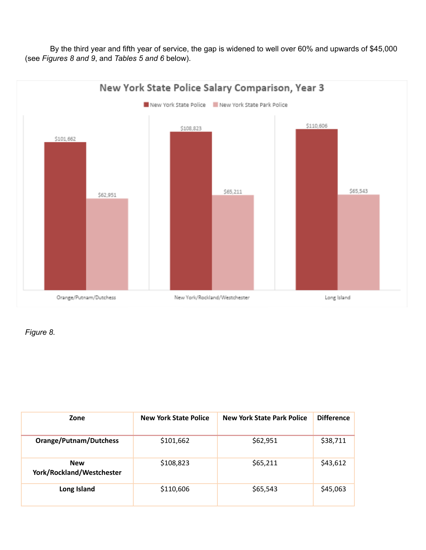By the third year and fifth year of service, the gap is widened to well over 60% and upwards of \$45,000 (see *Figures 8 and 9*, and *Tables 5 and 6* below).



*Figure 8.*

| Zone                                    | <b>New York State Police</b> | <b>New York State Park Police</b> | <b>Difference</b> |
|-----------------------------------------|------------------------------|-----------------------------------|-------------------|
| <b>Orange/Putnam/Dutchess</b>           | \$101,662                    | \$62,951                          | \$38,711          |
| <b>New</b><br>York/Rockland/Westchester | \$108,823                    | \$65,211                          | \$43,612          |
| Long Island                             | \$110,606                    | \$65,543                          | \$45,063          |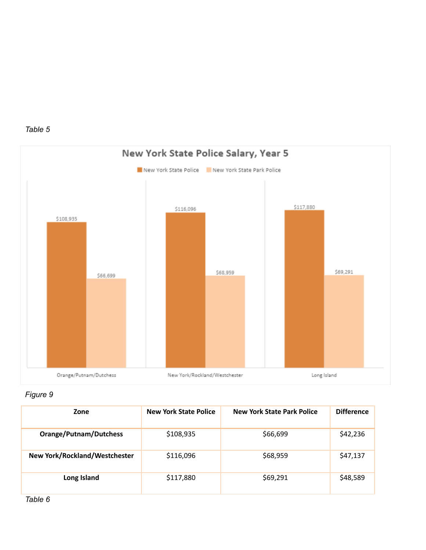



# *Figure 9*

| Zone                          | <b>New York State Police</b> | <b>New York State Park Police</b> | <b>Difference</b> |
|-------------------------------|------------------------------|-----------------------------------|-------------------|
| <b>Orange/Putnam/Dutchess</b> | \$108,935                    | \$66,699                          | \$42,236          |
| New York/Rockland/Westchester | \$116,096                    | \$68,959                          | \$47,137          |
| Long Island                   | \$117,880                    | \$69,291                          | \$48,589          |